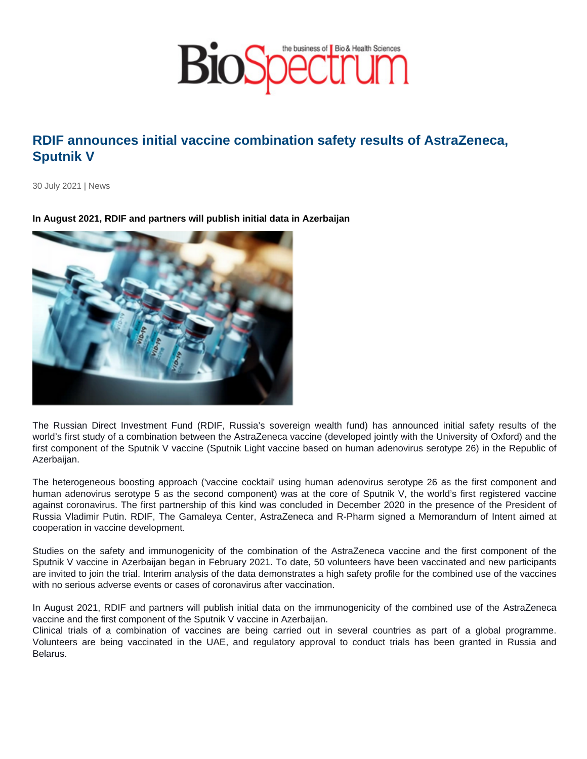## RDIF announces initial vaccine combination safety results of AstraZeneca, Sputnik V

30 July 2021 | News

In August 2021, RDIF and partners will publish initial data in Azerbaijan

The Russian Direct Investment Fund (RDIF, Russia's sovereign wealth fund) has announced initial safety results of the world's first study of a combination between the AstraZeneca vaccine (developed jointly with the University of Oxford) and the first component of the Sputnik V vaccine (Sputnik Light vaccine based on human adenovirus serotype 26) in the Republic of Azerbaijan.

The heterogeneous boosting approach ('vaccine cocktail' using human adenovirus serotype 26 as the first component and human adenovirus serotype 5 as the second component) was at the core of Sputnik V, the world's first registered vaccine against coronavirus. The first partnership of this kind was concluded in December 2020 in the presence of the President of Russia Vladimir Putin. RDIF, The Gamaleya Center, AstraZeneca and R-Pharm signed a Memorandum of Intent aimed at cooperation in vaccine development.

Studies on the safety and immunogenicity of the combination of the AstraZeneca vaccine and the first component of the Sputnik V vaccine in Azerbaijan began in February 2021. To date, 50 volunteers have been vaccinated and new participants are invited to join the trial. Interim analysis of the data demonstrates a high safety profile for the combined use of the vaccines with no serious adverse events or cases of coronavirus after vaccination.

In August 2021, RDIF and partners will publish initial data on the immunogenicity of the combined use of the AstraZeneca vaccine and the first component of the Sputnik V vaccine in Azerbaijan.

Clinical trials of a combination of vaccines are being carried out in several countries as part of a global programme. Volunteers are being vaccinated in the UAE, and regulatory approval to conduct trials has been granted in Russia and Belarus.